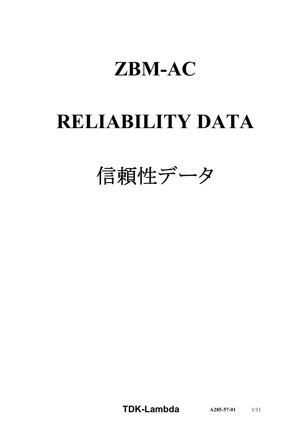# **ZBM-AC**

# **RELIABILITY DATA**

信頼性データ

**TDK-Lambda A285-57-01** 1/11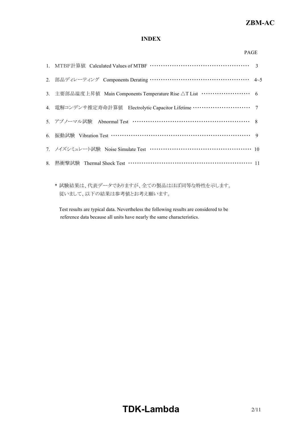## **INDEX**

| 2. 部品ディレーティング Components Derating ………………………………………… 4~5                        |  |
|-------------------------------------------------------------------------------|--|
| 3. 主要部品温度上昇值 Main Components Temperature Rise △T List ····················· 6 |  |
| 4. 電解コンデンサ推定寿命計算値 Electrolytic Capacitor Lifetime ………………………………… 7             |  |
| 5. アブノーマル試験 Abnormal Test …………………………………………………… 8                              |  |
| 6. 振動試験 Vibration Test …………………………………………………………………… 9                           |  |
| 7. ノイズシミュレート試験 Noise Simulate Test ……………………………………………… 10                      |  |
| 8. 熱衝擊試験 Thermal Shock Test …………………………………………………… 11                           |  |
|                                                                               |  |

\* 試験結果は、代表データでありますが、全ての製品はほぼ同等な特性を示します。 従いまして、以下の結果は参考値とお考え願います。

Test results are typical data. Nevertheless the following results are considered to be reference data because all units have nearly the same characteristics.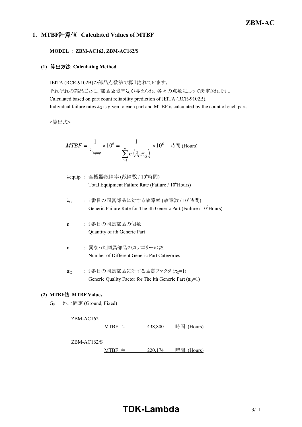## **1. MTBF**計算値 **Calculated Values of MTBF**

#### **MODEL : ZBM-AC162, ZBM-AC162/S**

## **(1)** 算出方法 **Calculating Method**

JEITA (RCR-9102B)の部品点数法で算出されています。 それぞれの部品ごとに、部品故障率λGが与えられ、各々の点数によって決定されます。 Calculated based on part count reliability prediction of JEITA (RCR-9102B). Individual failure rates  $\lambda_G$  is given to each part and MTBF is calculated by the count of each part.

<算出式>

$$
MTBF = \frac{1}{\lambda_{\text{equip}}} \times 10^6 = \frac{1}{\sum_{i=1}^n n_i (\lambda_{\text{c}} \pi_{\text{Q}})_i} \times 10^6 \quad \text{iff} \quad \text{(Hours)}
$$

- $\lambda$ equip : 全機器故障率 (故障数 /  $10^6$ 時間) Total Equipment Failure Rate (Failure / 10<sup>6</sup>Hours)
- $\lambda_G$  : i番目の同属部品に対する故障率 (故障数 / 10<sup>6</sup>時間) Generic Failure Rate for The ith Generic Part (Failure / 10<sup>6</sup>Hours)
- $n_i$ : i 番目の同属部品の個数 Quantity of ith Generic Part
- n : 異なった同属部品のカテゴリーの数 Number of Different Generic Part Categories
- $\pi_{\Omega}$  : i 番目の同属部品に対する品質ファクタ $(\pi_{0}=1)$ Generic Quality Factor for The ith Generic Part  $(\pi_0=1)$

#### **(2) MTBF**値 **MTBF Values**

G<sup>F</sup> : 地上固定 (Ground, Fixed)

#### ZBM-AC162

MTBF ≒  $438,800$  時間 (Hours)

ZBM-AC162/S

 $MTBF = 220,174$  時間 (Hours)

# **TDK-Lambda** 3/11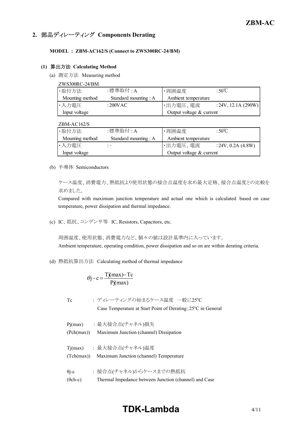## **2.** 部品ディレーティング **Components Derating**

#### **MODEL : ZBM-AC162/S (Connect to ZWS300RC-24/BM)**

#### **(1)** 算出方法 **Calculating Method**

(a) 測定方法 Measuring method

| ZWS300RC-24/BM  |                       |                          |                     |
|-----------------|-----------------------|--------------------------|---------------------|
| ·取付方法           | :標準取付 : A             | ・周囲温度                    | : $50^{\circ}$ C    |
| Mounting method | Standard mounting : A | Ambient temperature      |                     |
| ・入力電圧           | :200VAC               | ・出力電圧、電流                 | : 24V, 12.1A (290W) |
| Input voltage   |                       | Output voltage & current |                     |

ZBM-AC162/S

| ·取付方法           | :標準取付 : A             | ・周囲温度                    | $:50^{\circ}$ C    |  |  |  |
|-----------------|-----------------------|--------------------------|--------------------|--|--|--|
| Mounting method | Standard mounting : A | Ambient temperature      |                    |  |  |  |
| ・入力電圧           |                       | ・出力電圧、電流                 | : 24V, 0.2A (4.8W) |  |  |  |
| Input voltage   |                       | Output voltage & current |                    |  |  |  |

(b) 半導体 Semiconductors

ケース温度、消費電力、熱抵抗より使用状態の接合点温度を求め最大定格、接合点温度との比較を 求めました。

Compared with maximum junction temperature and actual one which is calculated based on case temperature, power dissipation and thermal impedance.

(c) IC、抵抗、コンデンサ等 IC, Resistors, Capacitors, etc.

周囲温度、使用状態、消費電力など、個々の値は設計基準内に入っています。 Ambient temperature, operating condition, power dissipation and so on are within derating criteria.

(d) 熱抵抗算出方法 Calculating method of thermal impedance

$$
\theta j - c = \frac{Tj(max) - Tc}{Pj(max)}
$$

Tc : ディレーティングの始まるケース温度 一般に25°C Case Temperature at Start Point of Derating;  $25^{\circ}$ C in General

Pj(max) : 最大接合点(チャネル)損失 (Pch(max)) Maximum Junction (channel) Dissipation Tj(max) : 最大接合点(チャネル)温度 (Tch(max)) Maximum Junction (channel) Temperature θj-c : 接合点(チャネル)からケースまでの熱抵抗 (θch-c) Thermal Impedance between Junction (channel) and Case

# **TDK-Lambda**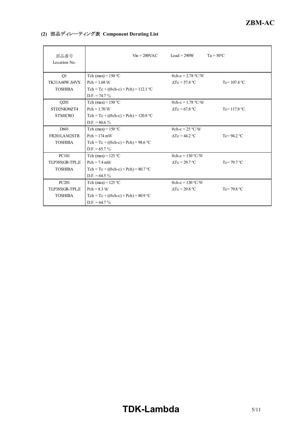## **(2)** 部品ディレーティング表 **Component Derating List**

| 部品番号<br>Location No. | $V_{\text{in}} = 200 \text{VAC}$               | Load = $290W$             | $Ta = 50^{\circ}C$    |
|----------------------|------------------------------------------------|---------------------------|-----------------------|
| Q1                   | Tch (max) = $150 °C$                           | $\theta$ ch-c = 2.78 °C/W |                       |
| TK31A60W, S4VX       | $Pch = 1.68 W$                                 | $\Delta T_c = 57.4$ °C    | Tc= $107.4$ °C        |
| <b>TOSHIBA</b>       | Tch = Tc + (( $\theta$ ch-c) × Pch) = 112.1 °C |                           |                       |
|                      | $D.F. = 74.7 \%$                               |                           |                       |
| O <sub>201</sub>     | Tch (max) = $150 °C$                           | $\theta$ ch-c = 1.78 °C/W |                       |
| STD2NK90ZT4          | $Pch = 1.70 W$                                 | $\Delta Tc = 67.8$ °C     | Tc= $117.8 °C$        |
| <b>STMICRO</b>       | Tch = Tc + (( $\theta$ ch-c) × Pch) = 120.8 °C |                           |                       |
|                      | $D.F. = 80.6 \%$                               |                           |                       |
| D <sub>601</sub>     | Tch (max) = $150$ °C                           | $\theta$ ch-c = 25 °C/W   |                       |
| FR201LAM2STR         | $Pch = 174$ mW                                 | $\Lambda$ Tc = 44.2 °C    | Tc=94.2 $^{\circ}$ C  |
| <b>TOSHIBA</b>       | Tch = Tc + (( $\theta$ ch-c) × Pch) = 98.6 °C  |                           |                       |
|                      | $D.F. = 65.7 \%$                               |                           |                       |
| <b>PC101</b>         | Tch (max) = $125$ °C                           | $\theta$ ch-c = 130 °C/W  |                       |
| TLP385(GR-TPL,E      | $Pch = 7.4$ mW                                 | $\Delta Tc = 29.7$ °C     | Tc= $79.7$ °C         |
| <b>TOSHIBA</b>       | Tch = Tc + (( $\theta$ ch-c) × Pch) = 80.7 °C  |                           |                       |
|                      | D.F. = $64.5\%$                                |                           |                       |
| PC201                | Tch (max) = $125 °C$                           | $\theta$ ch-c = 130 °C/W  |                       |
| TLP385(GR-TPL,E      | $Pch = 8.3 W$                                  | $\Delta Tc = 29.8$ °C     | Tc= 79.8 $^{\circ}$ C |
| <b>TOSHIBA</b>       | Tch = Tc + (( $\theta$ ch-c) × Pch) = 80.9 °C  |                           |                       |
|                      | $D.F. = 64.7 \%$                               |                           |                       |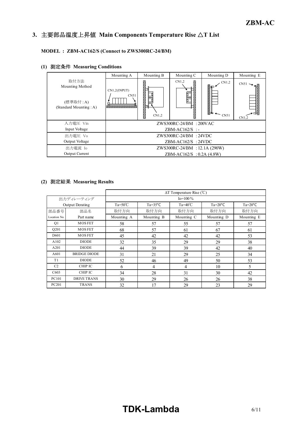#### *INSTRUCTION MANUAL* **3.** 主要部品温度上昇値 **Main Components Temperature Rise** △**T List**

## **MODEL : ZBM-AC162/S (Connect to ZWS300RC-24/BM)**

|                                                               | Mounting A                                    | Mounting B                | Mounting C      | Mounting D               | Mounting E                    |  |  |  |
|---------------------------------------------------------------|-----------------------------------------------|---------------------------|-----------------|--------------------------|-------------------------------|--|--|--|
| 取付方法<br>Mounting Method<br>(標準取付:A)<br>(Standard Mounting: A) | CN1,2(INPUT)<br>CN51<br>********************* | ۱П<br>CN1,2               | CN1,2<br>ğ<br>∹ | CN1,2<br>Νт<br>М<br>CN51 | $CN51$ $\rightarrow$<br>CN1,2 |  |  |  |
| 入力電圧 Vin                                                      |                                               | $ZWS300RC-24/BM$ : 200VAC |                 |                          |                               |  |  |  |
| Input Voltage                                                 |                                               | $ZBM-ACl62/S$ :           |                 |                          |                               |  |  |  |
| 出力電圧 Vo                                                       | $ZWS300RC-24/BM$ : 24VDC                      |                           |                 |                          |                               |  |  |  |
| Output Voltage                                                | $ZBM-AC162/S$ : 24VDC                         |                           |                 |                          |                               |  |  |  |
| 出力電流 Io                                                       | ZWS300RC-24/BM : 12.1A (290W)                 |                           |                 |                          |                               |  |  |  |
| <b>Output Current</b>                                         | ZBM-AC162/S : 0.2A (4.8W)                     |                           |                 |                          |                               |  |  |  |

## **(1)** 測定条件 **Measuring Conditions**

## **(2)** 測定結果 **Measuring Results**

|                  |                     | $\Delta T$ Temperature Rise (°C) |                                                          |            |            |                          |  |  |  |  |  |
|------------------|---------------------|----------------------------------|----------------------------------------------------------|------------|------------|--------------------------|--|--|--|--|--|
|                  | 出力ディレーティング          | $Io = 100\%$                     |                                                          |            |            |                          |  |  |  |  |  |
|                  | Output Derating     | $Ta=50^{\circ}C$                 | $Ta=40^{\circ}C$<br>$Ta=35^{\circ}C$<br>$Ta=20^{\circ}C$ |            |            |                          |  |  |  |  |  |
| 部品番号             | 部品名                 | 取付方向                             | 取付方向                                                     | 取付方向       | 取付方向       | 取付方向                     |  |  |  |  |  |
| Location No.     | Part name           | Mounting A                       | Mounting B                                               | Mounting C | Mounting D | Mounting E               |  |  |  |  |  |
| Q <sub>1</sub>   | <b>MOS FET</b>      | 58                               | 57                                                       | 55         | 57         | 57                       |  |  |  |  |  |
| Q201             | <b>MOS FET</b>      | 68                               | 57                                                       | 61         | 67         | 61                       |  |  |  |  |  |
| D <sub>601</sub> | <b>MOS FET</b>      | 45                               | 42                                                       | 42         | 42         | 53                       |  |  |  |  |  |
| A102             | <b>DIODE</b>        | 32                               | 35                                                       | 29         | 29         | 38                       |  |  |  |  |  |
| A201             | <b>DIODE</b>        | 44                               | 39                                                       | 39         | 42         | 40                       |  |  |  |  |  |
| A601             | <b>BRIDGE DIODE</b> | 31                               | 21                                                       | 29         | 25         | 34                       |  |  |  |  |  |
| T1               | <b>DIODE</b>        | 52                               | 46                                                       | 49         | 50         | 53                       |  |  |  |  |  |
| C <sub>2</sub>   | CHIP IC             | 6                                | 4                                                        | 4          | 10         | $\overline{\phantom{0}}$ |  |  |  |  |  |
| C <sub>603</sub> | CHIP IC             | 34                               | 28                                                       | 31         | 30         | 42                       |  |  |  |  |  |
| PC101            | <b>DRIVE TRANS</b>  | 30                               | 29                                                       | 26         | 26         | 38                       |  |  |  |  |  |
| PC201            | <b>TRANS</b>        | 32                               | 17                                                       | 29         | 23         | 29                       |  |  |  |  |  |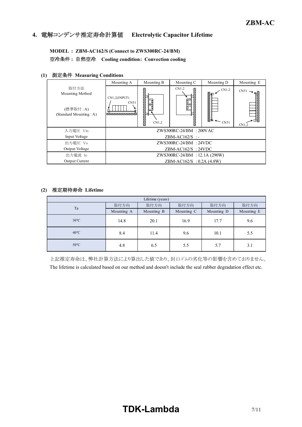## **4.** 電解コンデンサ推定寿命計算値 **Electrolytic Capacitor Lifetime**

**MODEL : ZBM-AC162/S (Connect to ZWS300RC-24/BM)** 空冷条件 **:** 自然空冷 **Cooling condition: Convection cooling**

## **(1)** 測定条件 **Measuring Conditions**

|                                                               | Mounting A                                                    | Mounting B                  | Mounting C | Mounting D                      | Mounting E                  |  |  |  |
|---------------------------------------------------------------|---------------------------------------------------------------|-----------------------------|------------|---------------------------------|-----------------------------|--|--|--|
| 取付方法<br>Mounting Method<br>(標準取付:A)<br>(Standard Mounting: A) | CN1,2(INPUT)<br>CN51<br><b><i>SOBOLOGICAL CONTRACTORY</i></b> | 汩<br>CN1,2                  | CN1,2      | CN1,2<br>Юь⊏<br>ĶЬ<br>$~<$ CN51 | $CN51 \rightarrow$<br>CN1,2 |  |  |  |
| 入力電圧 Vin                                                      |                                                               | $ZWS300RC-24/BM$ : $200VAC$ |            |                                 |                             |  |  |  |
| Input Voltage                                                 | $ZBM-ACl62/S$ :                                               |                             |            |                                 |                             |  |  |  |
| 出力雷圧 Vo                                                       | $ZWS300RC-24/BM$ : 24VDC                                      |                             |            |                                 |                             |  |  |  |
| Output Voltage                                                | $ZBM-AC162/S$ : 24VDC                                         |                             |            |                                 |                             |  |  |  |
| 出力電流 Io                                                       | ZWS300RC-24/BM : 12.1A (290W)                                 |                             |            |                                 |                             |  |  |  |
| Output Current                                                | $ZBM-ACl62/S : 0.2A (4.8W)$                                   |                             |            |                                 |                             |  |  |  |

## **(2)** 推定期待寿命 **Lifetime**

| Lifetime (years) |            |            |            |            |            |  |  |  |
|------------------|------------|------------|------------|------------|------------|--|--|--|
| Ta               | 取付方向       | 取付方向       | 取付方向       | 取付方向       | 取付方向       |  |  |  |
|                  | Mounting A | Mounting B | Mounting C | Mounting D | Mounting E |  |  |  |
| $30^{\circ}$ C   | 14.8       | 20.1       | 16.9       | 17.7       | 9.6        |  |  |  |
| $40^{\circ}$ C   | 8.4        | 11.4       | 9.6        | 10.1       | 5.5        |  |  |  |
| $50^{\circ}$ C   | 4.8        | 6.5        | 5.5        | 5.7        | 3.1        |  |  |  |

上記推定寿命は、弊社計算方法により算出した値であり、封口ゴムの劣化等の影響を含めておりません。 The lifetime is calculated based on our method and doesn't include the seal rubber degradation effect etc.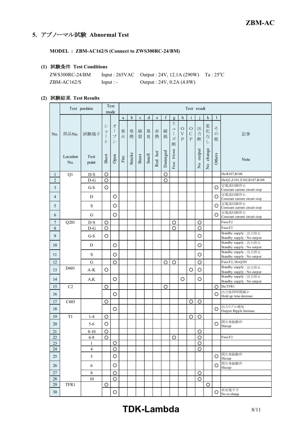## **5.** アブノーマル試験 **Abnormal Test**

**MODEL : ZBM-AC162/S (Connect to ZWS300RC-24/BM)**

## **(1)** 試験条件 **Test Conditions**

| $ZWS300RC-24/BM$ |            | Input : $265\text{VAC}$ Output : $24\text{V}$ , $12.1\text{A}$ ( $290\text{W}$ ) Ta : $25\text{°C}$ |  |
|------------------|------------|-----------------------------------------------------------------------------------------------------|--|
| $ZBM-ACl62/S$    | $Input: -$ | Output : 24V, 0.2A (4.8W)                                                                           |  |

## **(2)** 試験結果 **Test Results**

|                  |                  | Test position   |                            | Test<br>mode                                                    |        | Test result |             |        |             |                    |                                                                                  |                                    |                                          |                    |                         |                         |                                                    |
|------------------|------------------|-----------------|----------------------------|-----------------------------------------------------------------|--------|-------------|-------------|--------|-------------|--------------------|----------------------------------------------------------------------------------|------------------------------------|------------------------------------------|--------------------|-------------------------|-------------------------|----------------------------------------------------|
|                  |                  |                 |                            |                                                                 | a      | b           | $\mathbf c$ | d      | $\mathbf e$ | f                  | g                                                                                | h                                  | $\mathbf{i}$                             |                    | $\mathbf k$             | $\mathbf{1}$            |                                                    |
| No.              | 部品No.            | 試験端子            | シ<br>$\exists$<br>$\vdash$ | 才<br>$\begin{array}{c} \hline \end{array}$<br>プ<br>$\checkmark$ | 発<br>火 | 発<br>煙      | 破<br>裂      | 異<br>臭 | 赤<br>熱      | 破<br>損             | ヒ<br>$\overline{\phantom{a}}$<br>$\begin{array}{c} \hline \end{array}$<br>ズ<br>断 | $\circ$<br>$\mathbf{V}$<br>$\rm P$ | $\circ$<br>$\mathcal{C}$<br>$\mathsf{P}$ | 出<br>力<br>断        | 変<br>化<br>な<br>L        | z<br>$\mathcal{O}$<br>他 | 記事                                                 |
|                  | Location<br>No.  | Test<br>point   | Short                      | Open                                                            | Fire   | Smoke       | Burst       | Smell  | Red hot     | Damaged            | blown<br>Fuse                                                                    |                                    |                                          | No output          | change<br>$\frac{1}{2}$ | Others                  | Note                                               |
| 1                | Q1               | $D-S$           | O                          |                                                                 |        |             |             |        |             | O                  |                                                                                  |                                    |                                          |                    |                         |                         | Da:R107,R108                                       |
| $\overline{2}$   |                  | $D-G$           | $\overline{\circ}$         |                                                                 |        |             |             |        |             | $\overline{\circ}$ |                                                                                  |                                    |                                          |                    |                         |                         | Da:Q1,Z101,Z102,R107,R108                          |
| 3                |                  | $G-S$           | O                          |                                                                 |        |             |             |        |             |                    |                                                                                  |                                    |                                          |                    |                         | O                       | 定電流回路停止<br>Constant current circuit stop           |
| 4                |                  | D               |                            | O                                                               |        |             |             |        |             |                    |                                                                                  |                                    |                                          |                    |                         | O                       | 定電流回路停止<br>Constant current circuit stop           |
| 5                |                  | S               |                            | $\circ$                                                         |        |             |             |        |             |                    |                                                                                  |                                    |                                          |                    |                         | O                       | 定電流回路停止<br>Constant current circuit stop           |
| 6                |                  | G               |                            | $\circ$                                                         |        |             |             |        |             |                    |                                                                                  |                                    |                                          |                    |                         | O                       | 定電流回路停止<br>Constant current circuit stop           |
| $\tau$           | Q201             | $D-S$           | $\circ$                    |                                                                 |        |             |             |        |             |                    | $\circ$                                                                          |                                    |                                          | O                  |                         |                         | Fuse:F2                                            |
| $\,8\,$          |                  | $D-G$           | $\circ$                    |                                                                 |        |             |             |        |             |                    | $\circ$                                                                          |                                    |                                          | $\circ$            |                         |                         | Fuse:F2                                            |
| 9                |                  | $G-S$           | O                          |                                                                 |        |             |             |        |             |                    |                                                                                  |                                    |                                          | $\circ$            |                         |                         | Standby supply: 出力停止<br>Standby supply : No output |
| 10               |                  | D               |                            | O                                                               |        |             |             |        |             |                    |                                                                                  |                                    |                                          | $\circ$            |                         |                         | Standby supply: 出力停止<br>Standby supply : No output |
| 11               |                  | S               |                            | $\circ$                                                         |        |             |             |        |             |                    |                                                                                  |                                    |                                          | $\circ$            |                         |                         | Standby supply: 出力停止<br>Standby supply: No output  |
| 12               |                  | G               |                            | $\circ$                                                         |        |             |             |        |             | O                  | $\circ$                                                                          |                                    |                                          | $\circ$            |                         |                         | Fuse:F2, Da:Q201                                   |
| 13               | D <sub>601</sub> | $A-K$           | O                          |                                                                 |        |             |             |        |             |                    |                                                                                  |                                    | O                                        | $\circ$            |                         |                         | Standby supply: 出力停止<br>Standby supply: No output  |
| 14               |                  | A,K             |                            | O                                                               |        |             |             |        |             |                    |                                                                                  | O                                  |                                          | O                  |                         |                         | Standby supply: 出力停止<br>Standby supply: No output  |
| 15               | C2               |                 | O                          |                                                                 |        |             |             |        |             | O                  |                                                                                  |                                    |                                          |                    |                         | O                       | Da:TFR1                                            |
| 16               |                  |                 |                            | O                                                               |        |             |             |        |             |                    |                                                                                  |                                    |                                          |                    |                         | O                       | 出力保持時間減少<br>Hold up time decrease                  |
| $17\,$           | C603             |                 | $\circ$                    |                                                                 |        |             |             |        |             |                    |                                                                                  |                                    | O                                        | $\circ$            |                         |                         |                                                    |
| 18               |                  |                 |                            | O                                                               |        |             |             |        |             |                    |                                                                                  |                                    |                                          |                    |                         | O                       | 出力リプル増加<br>Output Ripple Increase                  |
| 19               | T1               | $1-4$           | O                          |                                                                 |        |             |             |        |             |                    |                                                                                  |                                    | O                                        | $\circ$            |                         |                         |                                                    |
| 20               |                  | $5-6$           | O                          |                                                                 |        |             |             |        |             |                    |                                                                                  |                                    |                                          |                    |                         | O                       | 間欠発振動作<br>Hiccup                                   |
| 21               |                  | $8 - 10$        | $\overline{O}$             |                                                                 |        |             |             |        |             |                    |                                                                                  |                                    |                                          | $\overline{O}$     |                         |                         |                                                    |
| $22\,$           |                  | $6 - 8$         | $\circ$                    |                                                                 |        |             |             |        |             |                    | $\circ$                                                                          |                                    |                                          | $\circ$            |                         |                         | Fuse:F2                                            |
| $23\,$           |                  | 1               |                            | O                                                               |        |             |             |        |             |                    |                                                                                  |                                    |                                          | $\circ$            |                         |                         |                                                    |
| $24\,$           |                  | $\overline{4}$  |                            | $\bigcirc$                                                      |        |             |             |        |             |                    |                                                                                  |                                    |                                          | $\circ$            |                         |                         | 間欠発振動作                                             |
| 25               |                  | 5               |                            | O                                                               |        |             |             |        |             |                    |                                                                                  |                                    |                                          |                    |                         | O                       | Hiccup<br>間欠発振動作                                   |
| $26\,$           |                  | 6               |                            | $\circ$                                                         |        |             |             |        |             |                    |                                                                                  |                                    |                                          |                    |                         | O                       | Hiccup                                             |
| $27\,$<br>$28\,$ |                  | $\,$ $\,$<br>10 |                            | $\circ$<br>O                                                    |        |             |             |        |             |                    |                                                                                  |                                    |                                          | $\circ$<br>$\circ$ |                         |                         |                                                    |
| $29\,$           | TFR1             |                 | $\bigcirc$                 |                                                                 |        |             |             |        |             |                    |                                                                                  |                                    |                                          |                    | $\bigcirc$              |                         |                                                    |
| $30\,$           |                  |                 |                            | $\bigcirc$                                                      |        |             |             |        |             |                    |                                                                                  |                                    |                                          |                    |                         | O                       | 再充電不可<br>No re-charge                              |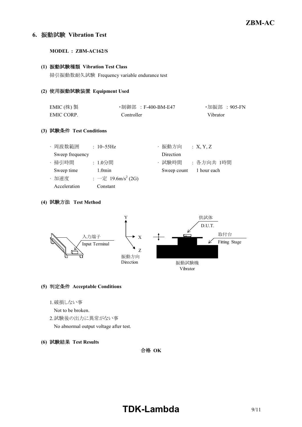## **6.** 振動試験 **Vibration Test**

**MODEL : ZBM-AC162/S**

#### **(1)** 振動試験種類 **Vibration Test Class**

掃引振動数耐久試験 Frequency variable endurance test

#### **(2)** 使用振動試験装置 **Equipment Used**

| EMIC $($ 株) 製 | ・制御部 :F-400-BM-E47 | ・加振部 :905-FN |
|---------------|--------------------|--------------|
| EMIC CORP.    | Controller         | Vibrator     |

## **(3)** 試験条件 **Test Conditions**

| ・周波数範囲          | : $10 - 55$ Hz                 | ・振動方向                   | :X, Y, Z  |
|-----------------|--------------------------------|-------------------------|-----------|
| Sweep frequency |                                | Direction               |           |
| · 掃引時間          | : 1.0分間                        | ・試験時間                   | :各方向共 1時間 |
| Sweep time      | $1.0$ min                      | Sweep count 1 hour each |           |
| ・加速度            | : 一定 19.6m/s <sup>2</sup> (2G) |                         |           |
| Acceleration    | Constant                       |                         |           |

## **(4)** 試験方法 **Test Method**



## **(5)** 判定条件 **Acceptable Conditions**

- 1.破損しない事
- Not to be broken.
- 2.試験後の出力に異常がない事
	- No abnormal output voltage after test.
- **(6)** 試験結果 **Test Results**

合格 **OK**

# **TDK-Lambda** 9/11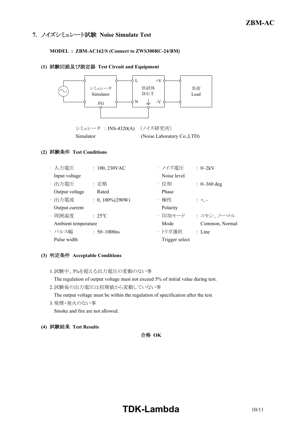## **7.** ノイズシミュレート試験 **Noise Simulate Test**

## **MODEL : ZBM-AC162/S (Connect to ZWS300RC-24/BM)**

#### **(1)** 試験回路及び測定器 **Test Circuit and Equipment**



## **(2)** 試験条件 **Test Conditions**

|                     | ・入力電圧          | $: 100, 230$ VAC    | ・ノイズ電圧         | $: 0\text{~}2kV$          |
|---------------------|----------------|---------------------|----------------|---------------------------|
|                     | Input voltage  |                     | Noise level    |                           |
|                     | ・出力電圧          | : 定格                | ・位相            | $: 0 \rightarrow 360$ deg |
|                     | Output voltage | Rated               | Phase          |                           |
|                     | ・出力電流          | $: 0, 100\% (290W)$ | ・極性            | $: +,-$                   |
|                     | Output current |                     | Polarity       |                           |
|                     | ・周囲温度          | $: 25^{\circ}C$     | ・印加モード         | : コモン、ノーマル                |
| Ambient temperature |                |                     | Mode           | Common, Normal            |
|                     | ・パルス幅          | $: 50 \sim 1000$ ns | ・トリガ選択         | $:$ Line                  |
|                     | Pulse width    |                     | Trigger select |                           |

## **(3)** 判定条件 **Acceptable Conditions**

1.試験中、5%を超える出力電圧の変動のない事

The regulation of output voltage must not exceed 5% of initial value during test.

2.試験後の出力電圧は初期値から変動していない事

The output voltage must be within the regulation of specification after the test.

3.発煙・発火のない事

Smoke and fire are not allowed.

**(4)** 試験結果 **Test Results**

## 合格 **OK**

# **TDK-Lambda** 10/11